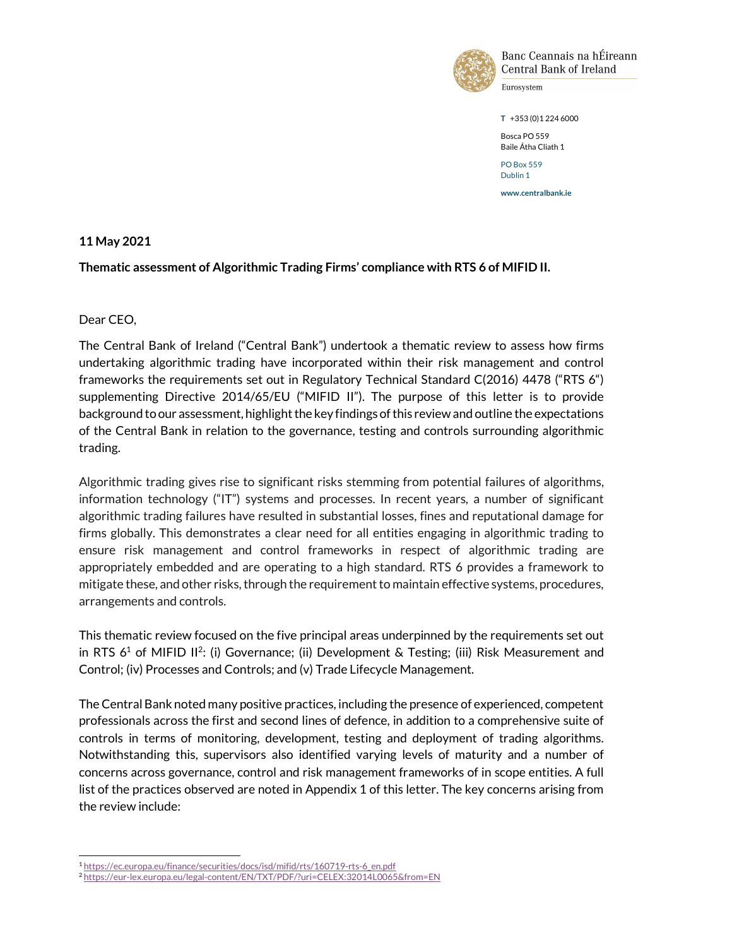

Banc Ceannais na hÉireann Central Bank of Ireland

Eurosystem

T +353 (0)1 224 6000

Bosca PO 559 Baile Átha Cliath 1

PO Box 559 Dublin 1

www.centralbank.ie

#### 11 May 2021

#### Thematic assessment of Algorithmic Trading Firms' compliance with RTS 6 of MIFID II.

Dear CEO,

l

The Central Bank of Ireland ("Central Bank") undertook a thematic review to assess how firms undertaking algorithmic trading have incorporated within their risk management and control frameworks the requirements set out in Regulatory Technical Standard C(2016) 4478 ("RTS 6") supplementing Directive 2014/65/EU ("MIFID II"). The purpose of this letter is to provide background to our assessment, highlight the key findings of this review and outline the expectations of the Central Bank in relation to the governance, testing and controls surrounding algorithmic trading.

Algorithmic trading gives rise to significant risks stemming from potential failures of algorithms, information technology ("IT") systems and processes. In recent years, a number of significant algorithmic trading failures have resulted in substantial losses, fines and reputational damage for firms globally. This demonstrates a clear need for all entities engaging in algorithmic trading to ensure risk management and control frameworks in respect of algorithmic trading are appropriately embedded and are operating to a high standard. RTS 6 provides a framework to mitigate these, and other risks, through the requirement to maintain effective systems, procedures, arrangements and controls.

This thematic review focused on the five principal areas underpinned by the requirements set out in RTS  $6<sup>1</sup>$  of MIFID II<sup>2</sup>: (i) Governance; (ii) Development & Testing; (iii) Risk Measurement and Control; (iv) Processes and Controls; and (v) Trade Lifecycle Management.

The Central Bank noted many positive practices, including the presence of experienced, competent professionals across the first and second lines of defence, in addition to a comprehensive suite of controls in terms of monitoring, development, testing and deployment of trading algorithms. Notwithstanding this, supervisors also identified varying levels of maturity and a number of concerns across governance, control and risk management frameworks of in scope entities. A full list of the practices observed are noted in Appendix 1 of this letter. The key concerns arising from the review include:

<sup>1</sup> https://ec.europa.eu/finance/securities/docs/isd/mifid/rts/160719-rts-6\_en.pdf

<sup>2</sup> https://eur-lex.europa.eu/legal-content/EN/TXT/PDF/?uri=CELEX:32014L0065&from=EN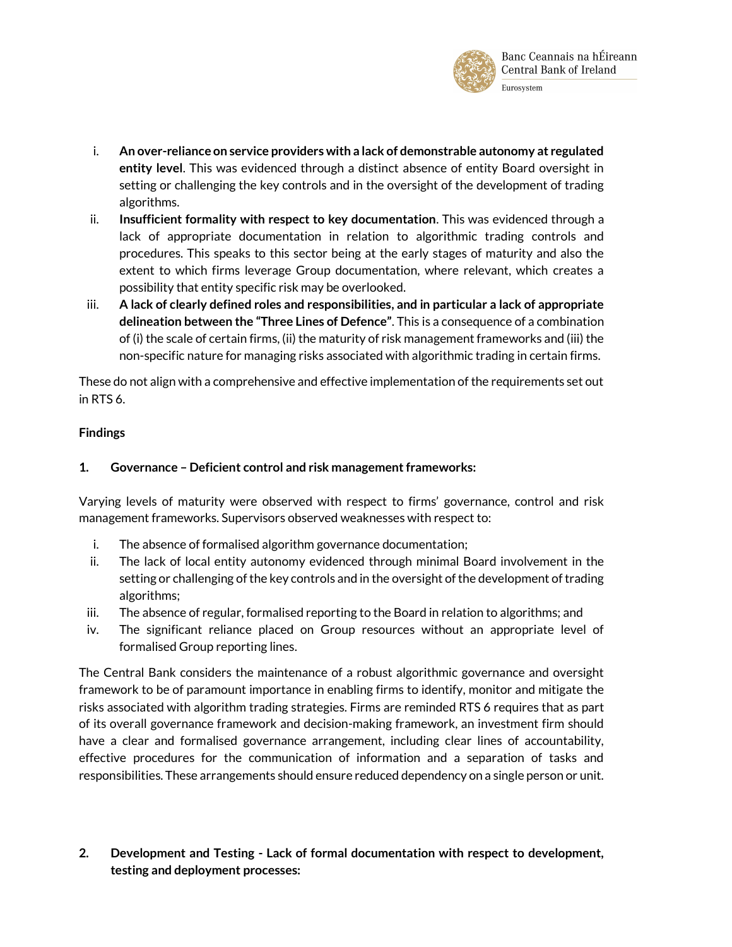

- i. An over-reliance on service providers with a lack of demonstrable autonomy at regulated entity level. This was evidenced through a distinct absence of entity Board oversight in setting or challenging the key controls and in the oversight of the development of trading algorithms.
- ii. Insufficient formality with respect to key documentation. This was evidenced through a lack of appropriate documentation in relation to algorithmic trading controls and procedures. This speaks to this sector being at the early stages of maturity and also the extent to which firms leverage Group documentation, where relevant, which creates a possibility that entity specific risk may be overlooked.
- iii. A lack of clearly defined roles and responsibilities, and in particular a lack of appropriate delineation between the "Three Lines of Defence". This is a consequence of a combination of (i) the scale of certain firms, (ii) the maturity of risk management frameworks and (iii) the non-specific nature for managing risks associated with algorithmic trading in certain firms.

These do not align with a comprehensive and effective implementation of the requirements set out in RTS 6.

## Findings

## 1. Governance – Deficient control and risk management frameworks:

Varying levels of maturity were observed with respect to firms' governance, control and risk management frameworks. Supervisors observed weaknesses with respect to:

- i. The absence of formalised algorithm governance documentation;
- ii. The lack of local entity autonomy evidenced through minimal Board involvement in the setting or challenging of the key controls and in the oversight of the development of trading algorithms;
- iii. The absence of regular, formalised reporting to the Board in relation to algorithms; and
- iv. The significant reliance placed on Group resources without an appropriate level of formalised Group reporting lines.

The Central Bank considers the maintenance of a robust algorithmic governance and oversight framework to be of paramount importance in enabling firms to identify, monitor and mitigate the risks associated with algorithm trading strategies. Firms are reminded RTS 6 requires that as part of its overall governance framework and decision-making framework, an investment firm should have a clear and formalised governance arrangement, including clear lines of accountability, effective procedures for the communication of information and a separation of tasks and responsibilities. These arrangements should ensure reduced dependency on a single person or unit.

2. Development and Testing - Lack of formal documentation with respect to development, testing and deployment processes: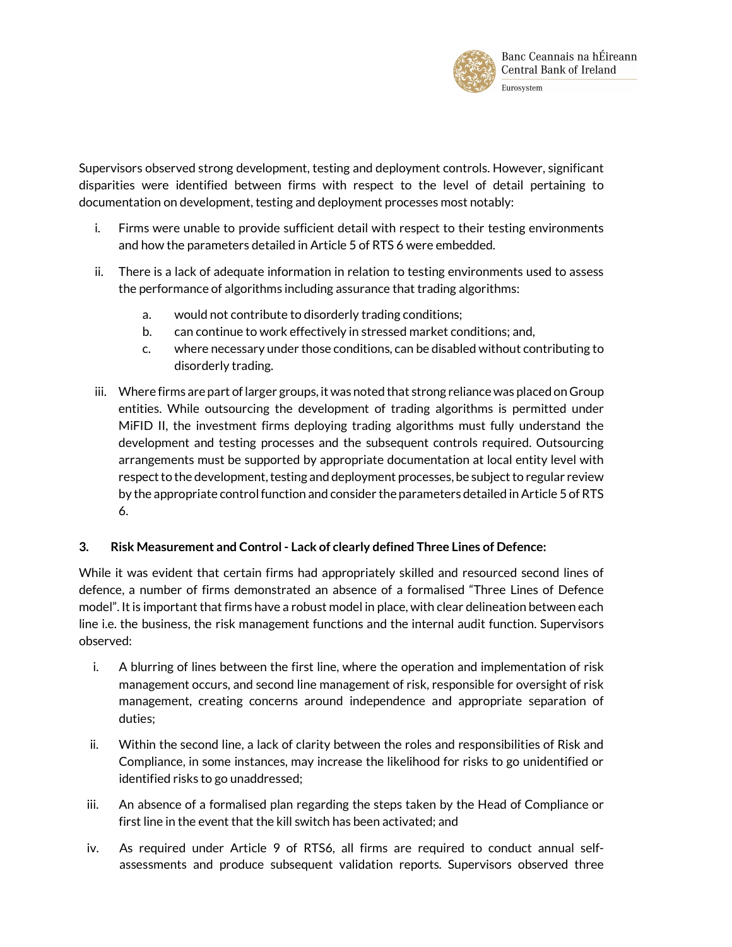

Supervisors observed strong development, testing and deployment controls. However, significant disparities were identified between firms with respect to the level of detail pertaining to documentation on development, testing and deployment processes most notably:

- i. Firms were unable to provide sufficient detail with respect to their testing environments and how the parameters detailed in Article 5 of RTS 6 were embedded.
- ii. There is a lack of adequate information in relation to testing environments used to assess the performance of algorithms including assurance that trading algorithms:
	- a. would not contribute to disorderly trading conditions;
	- b. can continue to work effectively in stressed market conditions; and,
	- c. where necessary under those conditions, can be disabled without contributing to disorderly trading.
- iii. Where firms are part of larger groups, it was noted that strong reliance was placed on Group entities. While outsourcing the development of trading algorithms is permitted under MiFID II, the investment firms deploying trading algorithms must fully understand the development and testing processes and the subsequent controls required. Outsourcing arrangements must be supported by appropriate documentation at local entity level with respect to the development, testing and deployment processes, be subject to regular review by the appropriate control function and consider the parameters detailed in Article 5 of RTS 6.

# 3. Risk Measurement and Control - Lack of clearly defined Three Lines of Defence:

While it was evident that certain firms had appropriately skilled and resourced second lines of defence, a number of firms demonstrated an absence of a formalised "Three Lines of Defence model". It is important that firms have a robust model in place, with clear delineation between each line i.e. the business, the risk management functions and the internal audit function. Supervisors observed:

- i. A blurring of lines between the first line, where the operation and implementation of risk management occurs, and second line management of risk, responsible for oversight of risk management, creating concerns around independence and appropriate separation of duties;
- ii. Within the second line, a lack of clarity between the roles and responsibilities of Risk and Compliance, in some instances, may increase the likelihood for risks to go unidentified or identified risks to go unaddressed;
- iii. An absence of a formalised plan regarding the steps taken by the Head of Compliance or first line in the event that the kill switch has been activated; and
- iv. As required under Article 9 of RTS6, all firms are required to conduct annual selfassessments and produce subsequent validation reports. Supervisors observed three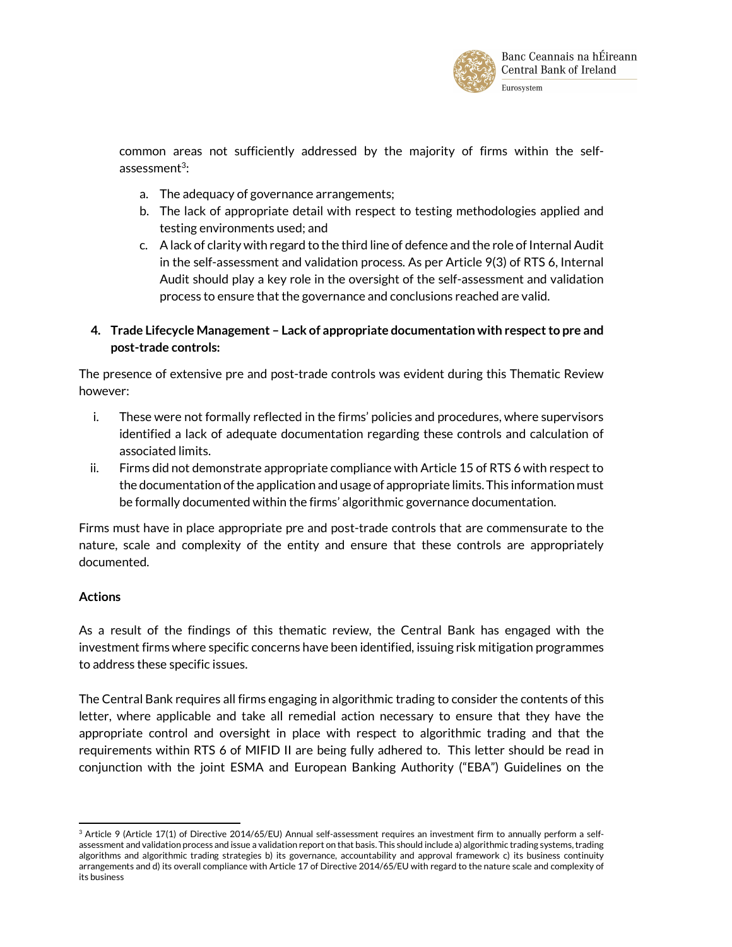

common areas not sufficiently addressed by the majority of firms within the selfassessment $^3$ :

- a. The adequacy of governance arrangements;
- b. The lack of appropriate detail with respect to testing methodologies applied and testing environments used; and
- c. A lack of clarity with regard to the third line of defence and the role of Internal Audit in the self-assessment and validation process. As per Article 9(3) of RTS 6, Internal Audit should play a key role in the oversight of the self-assessment and validation process to ensure that the governance and conclusions reached are valid.

## 4. Trade Lifecycle Management – Lack of appropriate documentation with respect to pre and post-trade controls:

The presence of extensive pre and post-trade controls was evident during this Thematic Review however:

- i. These were not formally reflected in the firms' policies and procedures, where supervisors identified a lack of adequate documentation regarding these controls and calculation of associated limits.
- ii. Firms did not demonstrate appropriate compliance with Article 15 of RTS 6 with respect to the documentation of the application and usage of appropriate limits. This information must be formally documented within the firms' algorithmic governance documentation.

Firms must have in place appropriate pre and post-trade controls that are commensurate to the nature, scale and complexity of the entity and ensure that these controls are appropriately documented.

# Actions

l

As a result of the findings of this thematic review, the Central Bank has engaged with the investment firms where specific concerns have been identified, issuing risk mitigation programmes to address these specific issues.

The Central Bank requires all firms engaging in algorithmic trading to consider the contents of this letter, where applicable and take all remedial action necessary to ensure that they have the appropriate control and oversight in place with respect to algorithmic trading and that the requirements within RTS 6 of MIFID II are being fully adhered to. This letter should be read in conjunction with the joint ESMA and European Banking Authority ("EBA") Guidelines on the

<sup>3</sup> Article 9 (Article 17(1) of Directive 2014/65/EU) Annual self-assessment requires an investment firm to annually perform a selfassessment and validation process and issue a validation report on that basis. This should include a) algorithmic trading systems, trading algorithms and algorithmic trading strategies b) its governance, accountability and approval framework c) its business continuity arrangements and d) its overall compliance with Article 17 of Directive 2014/65/EU with regard to the nature scale and complexity of its business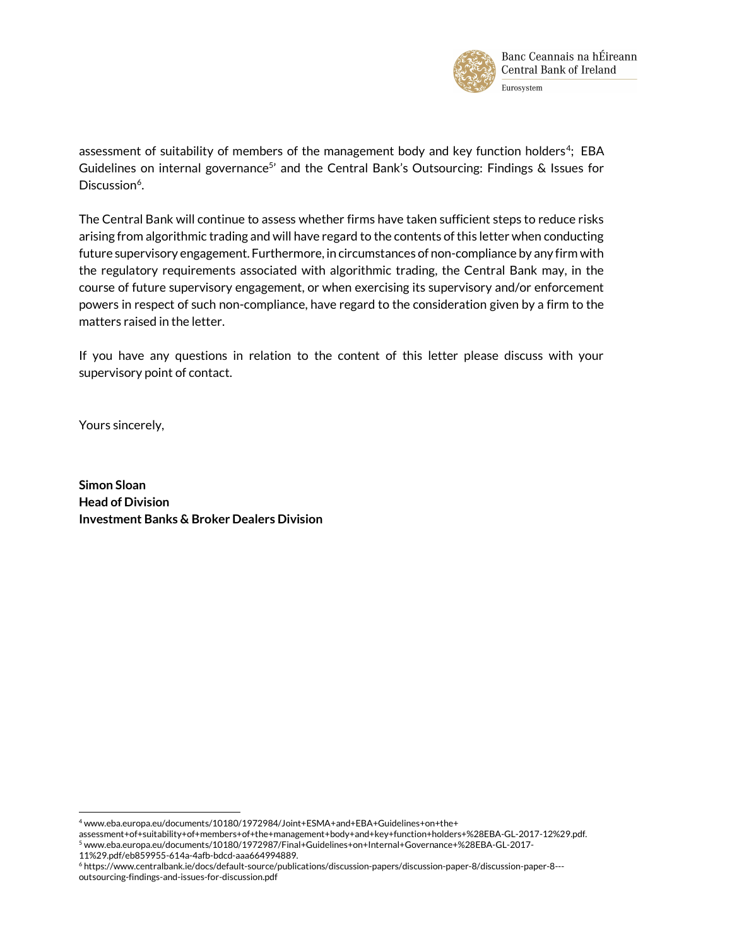

assessment of suitability of members of the management body and key function holders<sup>4</sup>; EBA Guidelines on internal governance<sup>5</sup> and the Central Bank's Outsourcing: Findings & Issues for Discussion<sup>6</sup>.

The Central Bank will continue to assess whether firms have taken sufficient steps to reduce risks arising from algorithmic trading and will have regard to the contents of this letter when conducting future supervisory engagement. Furthermore, in circumstances of non-compliance by any firm with the regulatory requirements associated with algorithmic trading, the Central Bank may, in the course of future supervisory engagement, or when exercising its supervisory and/or enforcement powers in respect of such non-compliance, have regard to the consideration given by a firm to the matters raised in the letter.

If you have any questions in relation to the content of this letter please discuss with your supervisory point of contact.

Yours sincerely,

Simon Sloan Head of Division Investment Banks & Broker Dealers Division

 $\overline{\phantom{a}}$ 

<sup>4</sup> www.eba.europa.eu/documents/10180/1972984/Joint+ESMA+and+EBA+Guidelines+on+the+

assessment+of+suitability+of+members+of+the+management+body+and+key+function+holders+%28EBA-GL-2017-12%29.pdf.  $^5$ www.eba.europa.eu/documents/10180/1972987/Final+Guidelines+on+Internal+Governance+%28EBA-GL-2017- $^5$ 

<sup>11%29.</sup>pdf/eb859955-614a-4afb-bdcd-aaa664994889.

<sup>6</sup> https://www.centralbank.ie/docs/default-source/publications/discussion-papers/discussion-paper-8/discussion-paper-8-- outsourcing-findings-and-issues-for-discussion.pdf